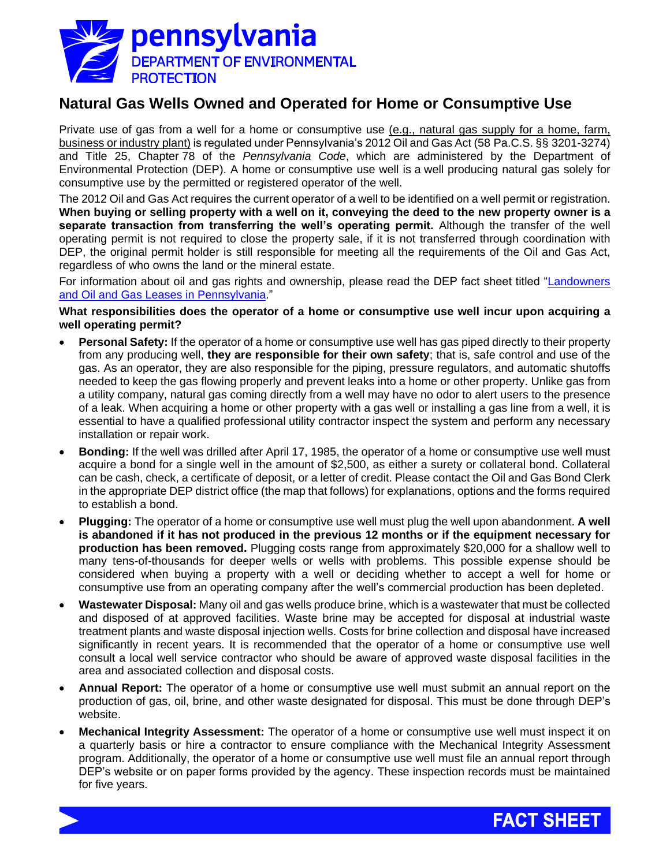

## **Natural Gas Wells Owned and Operated for Home or Consumptive Use**

Private use of gas from a well for a home or consumptive use (e.g., natural gas supply for a home, farm, business or industry plant) is regulated under Pennsylvania's 2012 Oil and Gas Act (58 Pa.C.S. §§ 3201-3274) and Title 25, Chapter 78 of the *Pennsylvania Code*, which are administered by the Department of Environmental Protection (DEP). A home or consumptive use well is a well producing natural gas solely for consumptive use by the permitted or registered operator of the well.

The 2012 Oil and Gas Act requires the current operator of a well to be identified on a well permit or registration. **When buying or selling property with a well on it, conveying the deed to the new property owner is a separate transaction from transferring the well's operating permit.** Although the transfer of the well operating permit is not required to close the property sale, if it is not transferred through coordination with DEP, the original permit holder is still responsible for meeting all the requirements of the Oil and Gas Act, regardless of who owns the land or the mineral estate.

For information about oil and gas rights and ownership, please read the DEP fact sheet titled ["Landowners](http://www.depgreenport.state.pa.us/elibrary/GetDocument?docId=1419046&DocName=LANDOWNERS%20AND%20OIL%20AND%20GAS%20LEASES%20IN%20PENNSYLVANIA.PDF%20%20%3cspan%20style%3D%22color:blue%3b%22%3e%3c/span%3e%2011/15/2020)  [and Oil and Gas Leases in Pennsylvania.](http://www.depgreenport.state.pa.us/elibrary/GetDocument?docId=1419046&DocName=LANDOWNERS%20AND%20OIL%20AND%20GAS%20LEASES%20IN%20PENNSYLVANIA.PDF%20%20%3cspan%20style%3D%22color:blue%3b%22%3e%3c/span%3e%2011/15/2020)"

**What responsibilities does the operator of a home or consumptive use well incur upon acquiring a well operating permit?**

- **Personal Safety:** If the operator of a home or consumptive use well has gas piped directly to their property from any producing well, **they are responsible for their own safety**; that is, safe control and use of the gas. As an operator, they are also responsible for the piping, pressure regulators, and automatic shutoffs needed to keep the gas flowing properly and prevent leaks into a home or other property. Unlike gas from a utility company, natural gas coming directly from a well may have no odor to alert users to the presence of a leak. When acquiring a home or other property with a gas well or installing a gas line from a well, it is essential to have a qualified professional utility contractor inspect the system and perform any necessary installation or repair work.
- **Bonding:** If the well was drilled after April 17, 1985, the operator of a home or consumptive use well must acquire a bond for a single well in the amount of \$2,500, as either a surety or collateral bond. Collateral can be cash, check, a certificate of deposit, or a letter of credit. Please contact the Oil and Gas Bond Clerk in the appropriate DEP district office (the map that follows) for explanations, options and the forms required to establish a bond.
- **Plugging:** The operator of a home or consumptive use well must plug the well upon abandonment. **A well is abandoned if it has not produced in the previous 12 months or if the equipment necessary for production has been removed.** Plugging costs range from approximately \$20,000 for a shallow well to many tens-of-thousands for deeper wells or wells with problems. This possible expense should be considered when buying a property with a well or deciding whether to accept a well for home or consumptive use from an operating company after the well's commercial production has been depleted.
- **Wastewater Disposal:** Many oil and gas wells produce brine, which is a wastewater that must be collected and disposed of at approved facilities. Waste brine may be accepted for disposal at industrial waste treatment plants and waste disposal injection wells. Costs for brine collection and disposal have increased significantly in recent years. It is recommended that the operator of a home or consumptive use well consult a local well service contractor who should be aware of approved waste disposal facilities in the area and associated collection and disposal costs.
- **Annual Report:** The operator of a home or consumptive use well must submit an annual report on the production of gas, oil, brine, and other waste designated for disposal. This must be done through DEP's website.
- **Mechanical Integrity Assessment:** The operator of a home or consumptive use well must inspect it on a quarterly basis or hire a contractor to ensure compliance with the Mechanical Integrity Assessment program. Additionally, the operator of a home or consumptive use well must file an annual report through DEP's website or on paper forms provided by the agency. These inspection records must be maintained for five years.